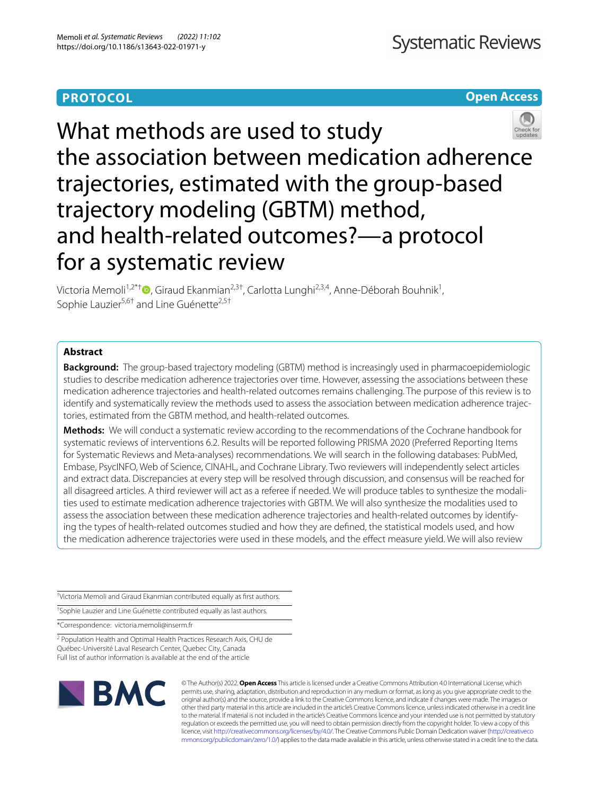# **PROTOCOL**

# **Open Access**



What methods are used to study the association between medication adherence trajectories, estimated with the group-based trajectory modeling (GBTM) method, and health-related outcomes?—a protocol for a systematic review

Victoria Memoli<sup>1,2\*[†](http://orcid.org/0000-0001-6866-6675)</sup>®, Giraud Ekanmian<sup>2,3†</sup>, Carlotta Lunghi<sup>2,3,4</sup>, Anne-Déborah Bouhnik<sup>1</sup>, Sophie Lauzier<sup>5,6†</sup> and Line Guénette<sup>2,5†</sup>

# **Abstract**

**Background:** The group-based trajectory modeling (GBTM) method is increasingly used in pharmacoepidemiologic studies to describe medication adherence trajectories over time. However, assessing the associations between these medication adherence trajectories and health-related outcomes remains challenging. The purpose of this review is to identify and systematically review the methods used to assess the association between medication adherence trajectories, estimated from the GBTM method, and health-related outcomes.

**Methods:** We will conduct a systematic review according to the recommendations of the Cochrane handbook for systematic reviews of interventions 6.2. Results will be reported following PRISMA 2020 (Preferred Reporting Items for Systematic Reviews and Meta-analyses) recommendations. We will search in the following databases: PubMed, Embase, PsycINFO, Web of Science, CINAHL, and Cochrane Library. Two reviewers will independently select articles and extract data. Discrepancies at every step will be resolved through discussion, and consensus will be reached for all disagreed articles. A third reviewer will act as a referee if needed. We will produce tables to synthesize the modalities used to estimate medication adherence trajectories with GBTM. We will also synthesize the modalities used to assess the association between these medication adherence trajectories and health-related outcomes by identifying the types of health-related outcomes studied and how they are defned, the statistical models used, and how the medication adherence trajectories were used in these models, and the efect measure yield. We will also review

† Victoria Memoli and Giraud Ekanmian contributed equally as frst authors.

† Sophie Lauzier and Line Guénette contributed equally as last authors.

\*Correspondence: victoria.memoli@inserm.fr

<sup>2</sup> Population Health and Optimal Health Practices Research Axis, CHU de Québec-Université Laval Research Center, Quebec City, Canada Full list of author information is available at the end of the article



© The Author(s) 2022. **Open Access** This article is licensed under a Creative Commons Attribution 4.0 International License, which permits use, sharing, adaptation, distribution and reproduction in any medium or format, as long as you give appropriate credit to the original author(s) and the source, provide a link to the Creative Commons licence, and indicate if changes were made. The images or other third party material in this article are included in the article's Creative Commons licence, unless indicated otherwise in a credit line to the material. If material is not included in the article's Creative Commons licence and your intended use is not permitted by statutory regulation or exceeds the permitted use, you will need to obtain permission directly from the copyright holder. To view a copy of this licence, visit [http://creativecommons.org/licenses/by/4.0/.](http://creativecommons.org/licenses/by/4.0/) The Creative Commons Public Domain Dedication waiver ([http://creativeco](http://creativecommons.org/publicdomain/zero/1.0/) [mmons.org/publicdomain/zero/1.0/](http://creativecommons.org/publicdomain/zero/1.0/)) applies to the data made available in this article, unless otherwise stated in a credit line to the data.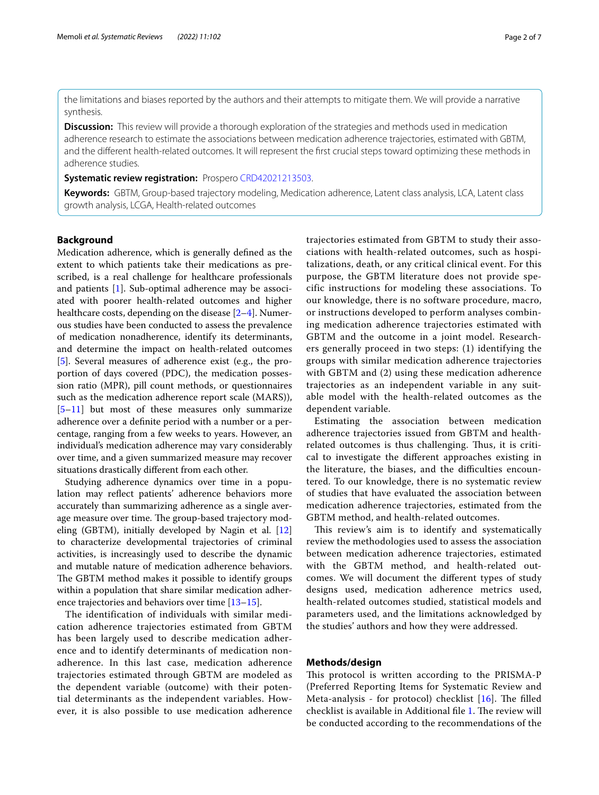the limitations and biases reported by the authors and their attempts to mitigate them. We will provide a narrative synthesis.

**Discussion:** This review will provide a thorough exploration of the strategies and methods used in medication adherence research to estimate the associations between medication adherence trajectories, estimated with GBTM, and the diferent health-related outcomes. It will represent the frst crucial steps toward optimizing these methods in adherence studies.

**Systematic review registration:** Prospero [CRD42021213503.](https://www.crd.york.ac.uk/prospero/display_record.php?ID=CRD42021213503)

**Keywords:** GBTM, Group-based trajectory modeling, Medication adherence, Latent class analysis, LCA, Latent class growth analysis, LCGA, Health-related outcomes

# **Background**

Medication adherence, which is generally defned as the extent to which patients take their medications as prescribed, is a real challenge for healthcare professionals and patients [[1\]](#page-5-0). Sub-optimal adherence may be associated with poorer health-related outcomes and higher healthcare costs, depending on the disease [[2–](#page-5-1)[4](#page-5-2)]. Numerous studies have been conducted to assess the prevalence of medication nonadherence, identify its determinants, and determine the impact on health-related outcomes [[5\]](#page-5-3). Several measures of adherence exist (e.g., the proportion of days covered (PDC), the medication possession ratio (MPR), pill count methods, or questionnaires such as the medication adherence report scale (MARS)), [[5–](#page-5-3)[11\]](#page-5-4) but most of these measures only summarize adherence over a defnite period with a number or a percentage, ranging from a few weeks to years. However, an individual's medication adherence may vary considerably over time, and a given summarized measure may recover situations drastically diferent from each other.

Studying adherence dynamics over time in a population may refect patients' adherence behaviors more accurately than summarizing adherence as a single average measure over time. The group-based trajectory modeling (GBTM), initially developed by Nagin et al. [[12](#page-5-5)] to characterize developmental trajectories of criminal activities, is increasingly used to describe the dynamic and mutable nature of medication adherence behaviors. The GBTM method makes it possible to identify groups within a population that share similar medication adherence trajectories and behaviors over time [[13](#page-5-6)[–15](#page-5-7)].

The identification of individuals with similar medication adherence trajectories estimated from GBTM has been largely used to describe medication adherence and to identify determinants of medication nonadherence. In this last case, medication adherence trajectories estimated through GBTM are modeled as the dependent variable (outcome) with their potential determinants as the independent variables. However, it is also possible to use medication adherence trajectories estimated from GBTM to study their associations with health-related outcomes, such as hospitalizations, death, or any critical clinical event. For this purpose, the GBTM literature does not provide specific instructions for modeling these associations. To our knowledge, there is no software procedure, macro, or instructions developed to perform analyses combining medication adherence trajectories estimated with GBTM and the outcome in a joint model. Researchers generally proceed in two steps: (1) identifying the groups with similar medication adherence trajectories with GBTM and (2) using these medication adherence trajectories as an independent variable in any suitable model with the health-related outcomes as the dependent variable.

Estimating the association between medication adherence trajectories issued from GBTM and healthrelated outcomes is thus challenging. Thus, it is critical to investigate the diferent approaches existing in the literature, the biases, and the difficulties encountered. To our knowledge, there is no systematic review of studies that have evaluated the association between medication adherence trajectories, estimated from the GBTM method, and health-related outcomes.

This review's aim is to identify and systematically review the methodologies used to assess the association between medication adherence trajectories, estimated with the GBTM method, and health-related outcomes. We will document the diferent types of study designs used, medication adherence metrics used, health-related outcomes studied, statistical models and parameters used, and the limitations acknowledged by the studies' authors and how they were addressed.

# **Methods/design**

This protocol is written according to the PRISMA-P (Preferred Reporting Items for Systematic Review and Meta-analysis - for protocol) checklist  $[16]$  $[16]$ . The filled checklist is available in Additional file [1](#page-4-0). The review will be conducted according to the recommendations of the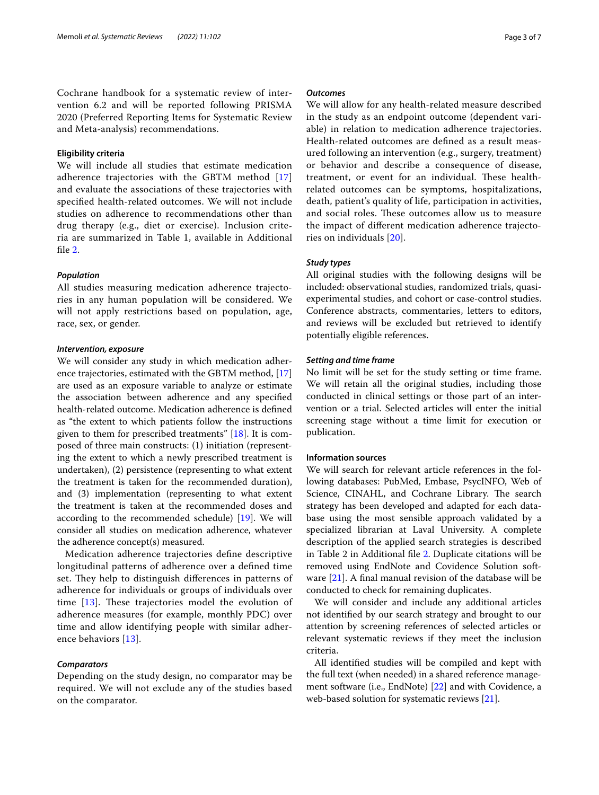Cochrane handbook for a systematic review of intervention 6.2 and will be reported following PRISMA 2020 (Preferred Reporting Items for Systematic Review and Meta-analysis) recommendations.

# **Eligibility criteria**

We will include all studies that estimate medication adherence trajectories with the GBTM method [\[17](#page-5-9)] and evaluate the associations of these trajectories with specifed health-related outcomes. We will not include studies on adherence to recommendations other than drug therapy (e.g., diet or exercise). Inclusion criteria are summarized in Table 1, available in Additional file [2](#page-4-1).

### *Population*

All studies measuring medication adherence trajectories in any human population will be considered. We will not apply restrictions based on population, age, race, sex, or gender.

# *Intervention, exposure*

We will consider any study in which medication adherence trajectories, estimated with the GBTM method, [[17](#page-5-9)] are used as an exposure variable to analyze or estimate the association between adherence and any specifed health-related outcome. Medication adherence is defned as "the extent to which patients follow the instructions given to them for prescribed treatments"  $[18]$  $[18]$ . It is composed of three main constructs: (1) initiation (representing the extent to which a newly prescribed treatment is undertaken), (2) persistence (representing to what extent the treatment is taken for the recommended duration), and (3) implementation (representing to what extent the treatment is taken at the recommended doses and according to the recommended schedule) [\[19\]](#page-5-11). We will consider all studies on medication adherence, whatever the adherence concept(s) measured.

Medication adherence trajectories defne descriptive longitudinal patterns of adherence over a defned time set. They help to distinguish differences in patterns of adherence for individuals or groups of individuals over time  $[13]$  $[13]$ . These trajectories model the evolution of adherence measures (for example, monthly PDC) over time and allow identifying people with similar adherence behaviors [[13\]](#page-5-6).

## *Comparators*

Depending on the study design, no comparator may be required. We will not exclude any of the studies based on the comparator.

# *Outcomes*

We will allow for any health-related measure described in the study as an endpoint outcome (dependent variable) in relation to medication adherence trajectories. Health-related outcomes are defned as a result measured following an intervention (e.g., surgery, treatment) or behavior and describe a consequence of disease, treatment, or event for an individual. These healthrelated outcomes can be symptoms, hospitalizations, death, patient's quality of life, participation in activities, and social roles. These outcomes allow us to measure the impact of diferent medication adherence trajectories on individuals [[20\]](#page-5-12).

# *Study types*

All original studies with the following designs will be included: observational studies, randomized trials, quasiexperimental studies, and cohort or case-control studies. Conference abstracts, commentaries, letters to editors, and reviews will be excluded but retrieved to identify potentially eligible references.

# *Setting and time frame*

No limit will be set for the study setting or time frame. We will retain all the original studies, including those conducted in clinical settings or those part of an intervention or a trial. Selected articles will enter the initial screening stage without a time limit for execution or publication.

# **Information sources**

We will search for relevant article references in the following databases: PubMed, Embase, PsycINFO, Web of Science, CINAHL, and Cochrane Library. The search strategy has been developed and adapted for each database using the most sensible approach validated by a specialized librarian at Laval University. A complete description of the applied search strategies is described in Table 2 in Additional fle [2.](#page-4-1) Duplicate citations will be removed using EndNote and Covidence Solution software  $[21]$  $[21]$ . A final manual revision of the database will be conducted to check for remaining duplicates.

We will consider and include any additional articles not identifed by our search strategy and brought to our attention by screening references of selected articles or relevant systematic reviews if they meet the inclusion criteria.

All identifed studies will be compiled and kept with the full text (when needed) in a shared reference management software (i.e., EndNote) [[22](#page-5-14)] and with Covidence, a web-based solution for systematic reviews [[21\]](#page-5-13).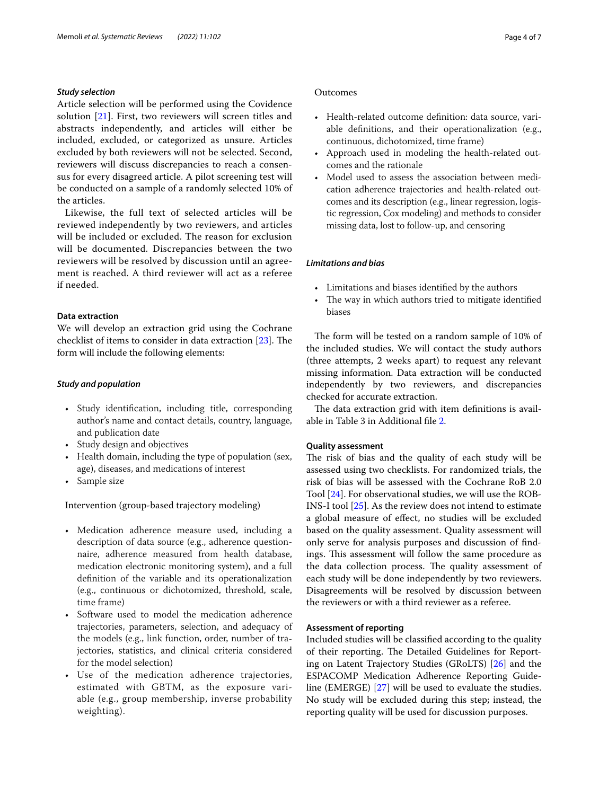# *Study selection*

Article selection will be performed using the Covidence solution [\[21](#page-5-13)]. First, two reviewers will screen titles and abstracts independently, and articles will either be included, excluded, or categorized as unsure. Articles excluded by both reviewers will not be selected. Second, reviewers will discuss discrepancies to reach a consensus for every disagreed article. A pilot screening test will be conducted on a sample of a randomly selected 10% of the articles.

Likewise, the full text of selected articles will be reviewed independently by two reviewers, and articles will be included or excluded. The reason for exclusion will be documented. Discrepancies between the two reviewers will be resolved by discussion until an agreement is reached. A third reviewer will act as a referee if needed.

# **Data extraction**

We will develop an extraction grid using the Cochrane checklist of items to consider in data extraction  $[23]$  $[23]$ . The form will include the following elements:

# *Study and population*

- Study identifcation, including title, corresponding author's name and contact details, country, language, and publication date
- Study design and objectives
- Health domain, including the type of population (sex, age), diseases, and medications of interest
- Sample size

Intervention (group-based trajectory modeling)

- Medication adherence measure used, including a description of data source (e.g., adherence questionnaire, adherence measured from health database, medication electronic monitoring system), and a full defnition of the variable and its operationalization (e.g., continuous or dichotomized, threshold, scale, time frame)
- Software used to model the medication adherence trajectories, parameters, selection, and adequacy of the models (e.g., link function, order, number of trajectories, statistics, and clinical criteria considered for the model selection)
- Use of the medication adherence trajectories, estimated with GBTM, as the exposure variable (e.g., group membership, inverse probability weighting).

# Outcomes

- Health-related outcome defnition: data source, variable defnitions, and their operationalization (e.g., continuous, dichotomized, time frame)
- Approach used in modeling the health-related outcomes and the rationale
- Model used to assess the association between medication adherence trajectories and health-related outcomes and its description (e.g., linear regression, logistic regression, Cox modeling) and methods to consider missing data, lost to follow-up, and censoring

# *Limitations and bias*

- Limitations and biases identifed by the authors
- The way in which authors tried to mitigate identified biases

The form will be tested on a random sample of 10% of the included studies. We will contact the study authors (three attempts, 2 weeks apart) to request any relevant missing information. Data extraction will be conducted independently by two reviewers, and discrepancies checked for accurate extraction.

The data extraction grid with item definitions is available in Table 3 in Additional fle [2.](#page-4-1)

# **Quality assessment**

The risk of bias and the quality of each study will be assessed using two checklists. For randomized trials, the risk of bias will be assessed with the Cochrane RoB 2.0 Tool [[24\]](#page-5-16). For observational studies, we will use the ROB-INS-I tool [[25\]](#page-5-17). As the review does not intend to estimate a global measure of efect, no studies will be excluded based on the quality assessment. Quality assessment will only serve for analysis purposes and discussion of fndings. This assessment will follow the same procedure as the data collection process. The quality assessment of each study will be done independently by two reviewers. Disagreements will be resolved by discussion between the reviewers or with a third reviewer as a referee.

## **Assessment of reporting**

Included studies will be classifed according to the quality of their reporting. The Detailed Guidelines for Reporting on Latent Trajectory Studies (GRoLTS) [[26\]](#page-5-18) and the ESPACOMP Medication Adherence Reporting Guideline (EMERGE) [[27\]](#page-5-19) will be used to evaluate the studies. No study will be excluded during this step; instead, the reporting quality will be used for discussion purposes.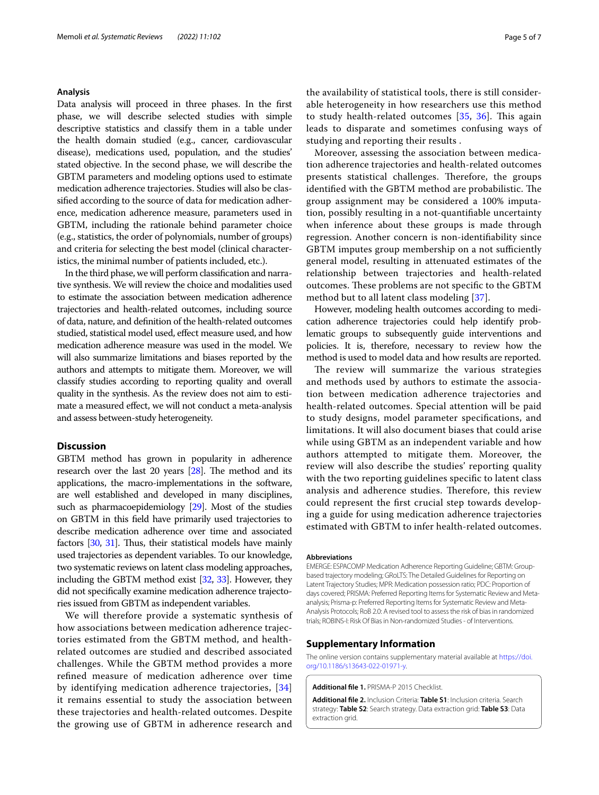## **Analysis**

Data analysis will proceed in three phases. In the frst phase, we will describe selected studies with simple descriptive statistics and classify them in a table under the health domain studied (e.g., cancer, cardiovascular disease), medications used, population, and the studies' stated objective. In the second phase, we will describe the GBTM parameters and modeling options used to estimate medication adherence trajectories. Studies will also be classifed according to the source of data for medication adherence, medication adherence measure, parameters used in GBTM, including the rationale behind parameter choice (e.g., statistics, the order of polynomials, number of groups) and criteria for selecting the best model (clinical characteristics, the minimal number of patients included, etc.).

In the third phase, we will perform classifcation and narrative synthesis. We will review the choice and modalities used to estimate the association between medication adherence trajectories and health-related outcomes, including source of data, nature, and defnition of the health-related outcomes studied, statistical model used, efect measure used, and how medication adherence measure was used in the model. We will also summarize limitations and biases reported by the authors and attempts to mitigate them. Moreover, we will classify studies according to reporting quality and overall quality in the synthesis. As the review does not aim to estimate a measured efect, we will not conduct a meta-analysis and assess between-study heterogeneity.

## **Discussion**

GBTM method has grown in popularity in adherence research over the last 20 years  $[28]$  $[28]$ . The method and its applications, the macro-implementations in the software, are well established and developed in many disciplines, such as pharmacoepidemiology [\[29\]](#page-6-0). Most of the studies on GBTM in this feld have primarily used trajectories to describe medication adherence over time and associated factors [[30](#page-6-1), [31](#page-6-2)]. Thus, their statistical models have mainly used trajectories as dependent variables. To our knowledge, two systematic reviews on latent class modeling approaches, including the GBTM method exist [\[32,](#page-6-3) [33](#page-6-4)]. However, they did not specifcally examine medication adherence trajectories issued from GBTM as independent variables.

We will therefore provide a systematic synthesis of how associations between medication adherence trajectories estimated from the GBTM method, and healthrelated outcomes are studied and described associated challenges. While the GBTM method provides a more refned measure of medication adherence over time by identifying medication adherence trajectories, [\[34](#page-6-5)] it remains essential to study the association between these trajectories and health-related outcomes. Despite the growing use of GBTM in adherence research and the availability of statistical tools, there is still considerable heterogeneity in how researchers use this method to study health-related outcomes  $[35, 36]$  $[35, 36]$  $[35, 36]$  $[35, 36]$ . This again leads to disparate and sometimes confusing ways of studying and reporting their results .

Moreover, assessing the association between medication adherence trajectories and health-related outcomes presents statistical challenges. Therefore, the groups identified with the GBTM method are probabilistic. The group assignment may be considered a 100% imputation, possibly resulting in a not-quantifable uncertainty when inference about these groups is made through regression. Another concern is non-identifability since GBTM imputes group membership on a not sufficiently general model, resulting in attenuated estimates of the relationship between trajectories and health-related outcomes. These problems are not specific to the GBTM method but to all latent class modeling [\[37](#page-6-8)].

However, modeling health outcomes according to medication adherence trajectories could help identify problematic groups to subsequently guide interventions and policies. It is, therefore, necessary to review how the method is used to model data and how results are reported.

The review will summarize the various strategies and methods used by authors to estimate the association between medication adherence trajectories and health-related outcomes. Special attention will be paid to study designs, model parameter specifcations, and limitations. It will also document biases that could arise while using GBTM as an independent variable and how authors attempted to mitigate them. Moreover, the review will also describe the studies' reporting quality with the two reporting guidelines specific to latent class analysis and adherence studies. Therefore, this review could represent the frst crucial step towards developing a guide for using medication adherence trajectories estimated with GBTM to infer health-related outcomes.

#### **Abbreviations**

EMERGE: ESPACOMP Medication Adherence Reporting Guideline; GBTM: Groupbased trajectory modeling; GRoLTS: The Detailed Guidelines for Reporting on Latent Trajectory Studies; MPR: Medication possession ratio; PDC: Proportion of days covered; PRISMA: Preferred Reporting Items for Systematic Review and Metaanalysis; Prisma-p: Preferred Reporting Items for Systematic Review and Meta-Analysis Protocols; RoB 2.0: A revised tool to assess the risk of bias in randomized trials; ROBINS-I: Risk Of Bias in Non-randomized Studies - of Interventions.

## **Supplementary Information**

The online version contains supplementary material available at [https://doi.](https://doi.org/10.1186/s13643-022-01971-y) [org/10.1186/s13643-022-01971-y.](https://doi.org/10.1186/s13643-022-01971-y)

<span id="page-4-1"></span><span id="page-4-0"></span>**Additional fle 1.** PRISMA-P 2015 Checklist.

**Additional fle 2.** Inclusion Criteria: **Table S1**: Inclusion criteria. Search strategy: **Table S2**: Search strategy. Data extraction grid: **Table S3**: Data extraction grid.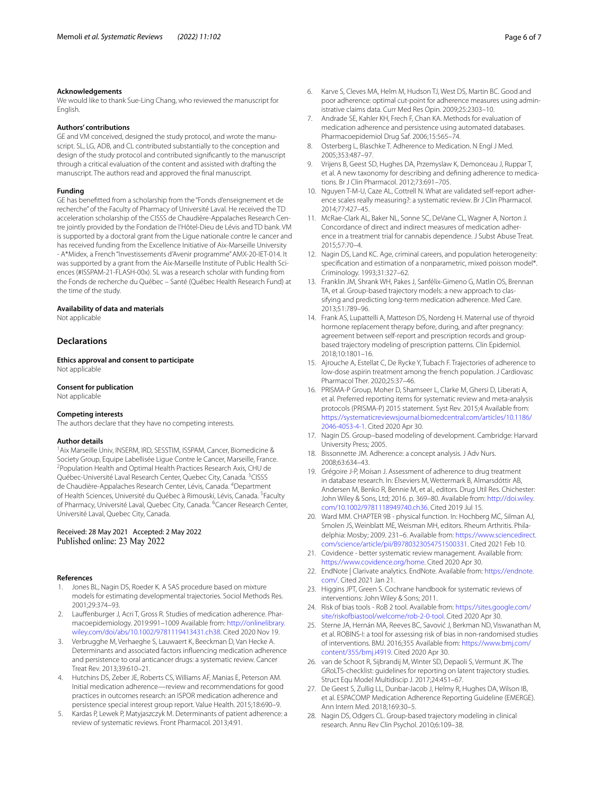#### **Acknowledgements**

We would like to thank Sue-Ling Chang, who reviewed the manuscript for English.

#### **Authors' contributions**

GE and VM conceived, designed the study protocol, and wrote the manuscript. SL, LG, ADB, and CL contributed substantially to the conception and design of the study protocol and contributed signifcantly to the manuscript through a critical evaluation of the content and assisted with drafting the manuscript. The authors read and approved the fnal manuscript.

#### **Funding**

GE has beneftted from a scholarship from the "Fonds d'enseignement et de recherche" of the Faculty of Pharmacy of Université Laval. He received the TD acceleration scholarship of the CISSS de Chaudière-Appalaches Research Centre jointly provided by the Fondation de l'Hôtel-Dieu de Lévis and TD bank. VM is supported by a doctoral grant from the Ligue nationale contre le cancer and has received funding from the Excellence Initiative of Aix-Marseille University - A\*Midex, a French "Investissements d'Avenir programme" AMX-20-IET-014. It was supported by a grant from the Aix-Marseille Institute of Public Health Sciences (#ISSPAM-21-FLASH-00x). SL was a research scholar with funding from the Fonds de recherche du Québec – Santé (Québec Health Research Fund) at the time of the study.

#### **Availability of data and materials**

Not applicable

## **Declarations**

**Ethics approval and consent to participate** Not applicable

#### **Consent for publication**

Not applicable

#### **Competing interests**

The authors declare that they have no competing interests.

#### **Author details**

<sup>1</sup> Aix Marseille Univ, INSERM, IRD, SESSTIM, ISSPAM, Cancer, Biomedicine & Society Group, Equipe Labellisée Ligue Contre le Cancer, Marseille, France. <sup>2</sup> Population Health and Optimal Health Practices Research Axis, CHU de Québec-Université Laval Research Center, Quebec City, Canada. <sup>3</sup>CISSS de Chaudière-Appalaches Research Center, Lévis, Canada. <sup>4</sup>Department of Health Sciences, Université du Québec à Rimouski, Lévis, Canada. <sup>5</sup>Faculty of Pharmacy, Université Laval, Quebec City, Canada. <sup>6</sup> Cancer Research Center, Université Laval, Quebec City, Canada.

### Received: 28 May 2021 Accepted: 2 May 2022 Published online: 23 May 2022

#### **References**

- <span id="page-5-0"></span>Jones BL, Nagin DS, Roeder K. A SAS procedure based on mixture models for estimating developmental trajectories. Sociol Methods Res. 2001;29:374–93.
- <span id="page-5-1"></span>2. Lauffenburger J, Acri T, Gross R. Studies of medication adherence. Pharmacoepidemiology. 2019:991–1009 Available from: [http://onlinelibrary.](http://onlinelibrary.wiley.com/doi/abs/10.1002/9781119413431.ch38) [wiley.com/doi/abs/10.1002/9781119413431.ch38](http://onlinelibrary.wiley.com/doi/abs/10.1002/9781119413431.ch38). Cited 2020 Nov 19.
- 3. Verbrugghe M, Verhaeghe S, Lauwaert K, Beeckman D, Van Hecke A. Determinants and associated factors infuencing medication adherence and persistence to oral anticancer drugs: a systematic review. Cancer Treat Rev. 2013;39:610–21.
- <span id="page-5-2"></span>4. Hutchins DS, Zeber JE, Roberts CS, Williams AF, Manias E, Peterson AM. Initial medication adherence—review and recommendations for good practices in outcomes research: an ISPOR medication adherence and persistence special interest group report. Value Health. 2015;18:690–9.
- <span id="page-5-3"></span>5. Kardas P, Lewek P, Matyjaszczyk M. Determinants of patient adherence: a review of systematic reviews. Front Pharmacol. 2013;4:91.
- 6. Karve S, Cleves MA, Helm M, Hudson TJ, West DS, Martin BC. Good and poor adherence: optimal cut-point for adherence measures using administrative claims data. Curr Med Res Opin. 2009;25:2303–10.
- 7. Andrade SE, Kahler KH, Frech F, Chan KA. Methods for evaluation of medication adherence and persistence using automated databases. Pharmacoepidemiol Drug Saf. 2006;15:565–74.
- 8. Osterberg L, Blaschke T. Adherence to Medication. N Engl J Med. 2005;353:487–97.
- 9. Vrijens B, Geest SD, Hughes DA, Przemyslaw K, Demonceau J, Ruppar T, et al. A new taxonomy for describing and defining adherence to medications. Br J Clin Pharmacol. 2012;73:691–705.
- 10. Nguyen T-M-U, Caze AL, Cottrell N. What are validated self-report adherence scales really measuring?: a systematic review. Br J Clin Pharmacol. 2014;77:427–45.
- <span id="page-5-4"></span>11. McRae-Clark AL, Baker NL, Sonne SC, DeVane CL, Wagner A, Norton J. Concordance of direct and indirect measures of medication adher‑ ence in a treatment trial for cannabis dependence. J Subst Abuse Treat. 2015;57:70–4.
- <span id="page-5-5"></span>12. Nagin DS, Land KC. Age, criminal careers, and population heterogeneity: specifcation and estimation of a nonparametric, mixed poisson model\*. Criminology. 1993;31:327–62.
- <span id="page-5-6"></span>13. Franklin JM, Shrank WH, Pakes J, Sanfélix-Gimeno G, Matlin OS, Brennan TA, et al. Group-based trajectory models: a new approach to classifying and predicting long-term medication adherence. Med Care. 2013;51:789–96.
- 14. Frank AS, Lupattelli A, Matteson DS, Nordeng H. Maternal use of thyroid hormone replacement therapy before, during, and after pregnancy: agreement between self-report and prescription records and groupbased trajectory modeling of prescription patterns. Clin Epidemiol. 2018;10:1801–16.
- <span id="page-5-7"></span>15. Ajrouche A, Estellat C, De Rycke Y, Tubach F. Trajectories of adherence to low-dose aspirin treatment among the french population. J Cardiovasc Pharmacol Ther. 2020;25:37–46.
- <span id="page-5-8"></span>16. PRISMA-P Group, Moher D, Shamseer L, Clarke M, Ghersi D, Liberati A, et al. Preferred reporting items for systematic review and meta-analysis protocols (PRISMA-P) 2015 statement. Syst Rev. 2015;4 Available from: [https://systematicreviewsjournal.biomedcentral.com/articles/10.1186/](https://systematicreviewsjournal.biomedcentral.com/articles/10.1186/2046-4053-4-1) [2046-4053-4-1](https://systematicreviewsjournal.biomedcentral.com/articles/10.1186/2046-4053-4-1). Cited 2020 Apr 30.
- <span id="page-5-9"></span>17. Nagin DS. Group–based modeling of development. Cambridge: Harvard University Press; 2005.
- <span id="page-5-10"></span>18. Bissonnette JM. Adherence: a concept analysis. J Adv Nurs. 2008;63:634–43.
- <span id="page-5-11"></span>19. Grégoire J-P, Moisan J. Assessment of adherence to drug treatment in database research. In: Elseviers M, Wettermark B, Almarsdóttir AB, Andersen M, Benko R, Bennie M, et al., editors. Drug Util Res. Chichester: John Wiley & Sons, Ltd; 2016. p. 369–80. Available from: [http://doi.wiley.](http://doi.wiley.com/10.1002/9781118949740.ch36) [com/10.1002/9781118949740.ch36](http://doi.wiley.com/10.1002/9781118949740.ch36). Cited 2019 Jul 15.
- <span id="page-5-12"></span>20. Ward MM. CHAPTER 9B - physical function. In: Hochberg MC, Silman AJ, Smolen JS, Weinblatt ME, Weisman MH, editors. Rheum Arthritis. Philadelphia: Mosby; 2009. 231–6. Available from: [https://www.sciencedirect.](https://www.sciencedirect.com/science/article/pii/B9780323054751500331) [com/science/article/pii/B9780323054751500331.](https://www.sciencedirect.com/science/article/pii/B9780323054751500331) Cited 2021 Feb 10.
- <span id="page-5-13"></span>21. Covidence - better systematic review management. Available from: <https://www.covidence.org/home>. Cited 2020 Apr 30.
- <span id="page-5-14"></span>22. EndNote | Clarivate analytics. EndNote. Available from: [https://endnote.](https://endnote.com/) [com/.](https://endnote.com/) Cited 2021 Jan 21.
- <span id="page-5-15"></span>23. Higgins JPT, Green S. Cochrane handbook for systematic reviews of interventions: John Wiley & Sons; 2011.
- <span id="page-5-16"></span>24. Risk of bias tools - RoB 2 tool. Available from: [https://sites.google.com/](https://sites.google.com/site/riskofbiastool/welcome/rob-2-0-tool) [site/riskofbiastool/welcome/rob-2-0-tool](https://sites.google.com/site/riskofbiastool/welcome/rob-2-0-tool). Cited 2020 Apr 30.
- <span id="page-5-17"></span>25. Sterne JA, Hernán MA, Reeves BC, Savović J, Berkman ND, Viswanathan M, et al. ROBINS-I: a tool for assessing risk of bias in non-randomised studies of interventions. BMJ. 2016;355 Available from: [https://www.bmj.com/](https://www.bmj.com/content/355/bmj.i4919) [content/355/bmj.i4919.](https://www.bmj.com/content/355/bmj.i4919) Cited 2020 Apr 30.
- <span id="page-5-18"></span>26. van de Schoot R, Sijbrandij M, Winter SD, Depaoli S, Vermunt JK. The GRoLTS-checklist: guidelines for reporting on latent trajectory studies. Struct Equ Model Multidiscip J. 2017;24:451–67.
- <span id="page-5-19"></span>27. De Geest S, Zullig LL, Dunbar-Jacob J, Helmy R, Hughes DA, Wilson IB, et al. ESPACOMP Medication Adherence Reporting Guideline (EMERGE). Ann Intern Med. 2018;169:30–5.
- <span id="page-5-20"></span>28. Nagin DS, Odgers CL. Group-based trajectory modeling in clinical research. Annu Rev Clin Psychol. 2010;6:109–38.